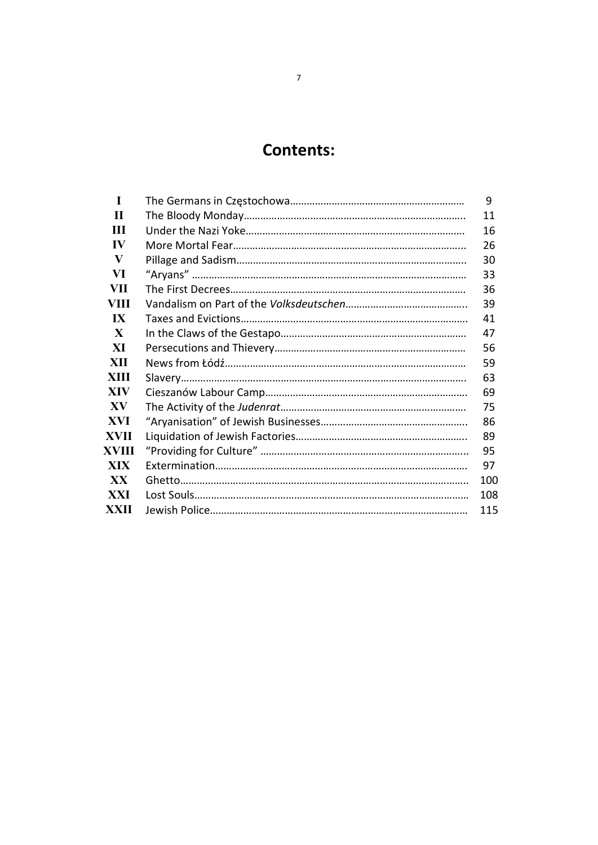## Contents:

| $\mathbf I$             | 9   |
|-------------------------|-----|
| $\mathbf H$             | 11  |
| Ш                       | 16  |
| $\bf{IV}$               | 26  |
| V                       | 30  |
| VI                      | 33  |
| <b>VII</b>              | 36  |
| VIII                    | 39  |
| $\mathbf{I} \mathbf{X}$ | 41  |
| X                       | 47  |
| XI                      | 56  |
| <b>XII</b>              | 59  |
| <b>XIII</b>             | 63  |
| <b>XIV</b>              | 69  |
| XV                      | 75  |
| <b>XVI</b>              | 86  |
| <b>XVII</b>             | 89  |
| XVIII                   | 95  |
| <b>XIX</b>              | 97  |
| <b>XX</b>               | 100 |
| <b>XXI</b>              | 108 |
| <b>XXII</b>             | 115 |

## 7